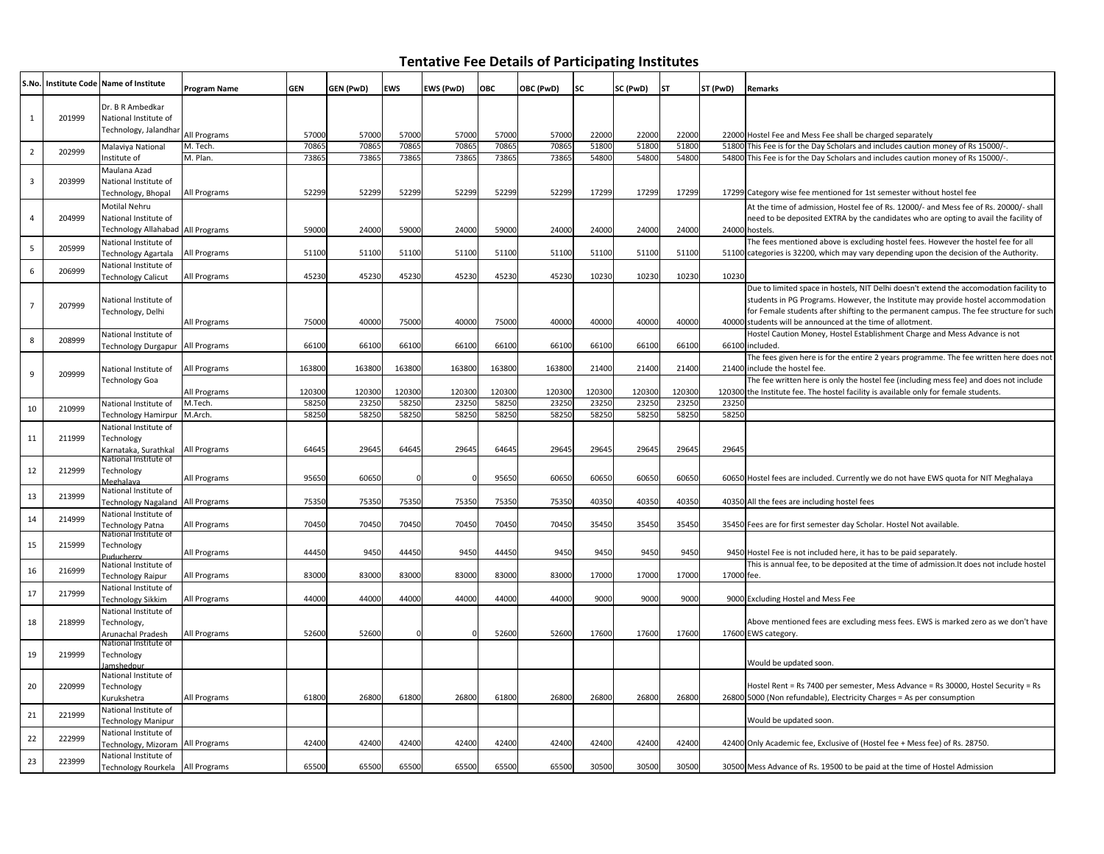## **Tentative Fee Details of Participating Institutes**

| S.No.                   |        | Institute Code Name of Institute              | <b>Program Name</b> | <b>GEN</b> | GEN (PwD) | <b>EWS</b> | EWS (PwD) | ОВС    | OBC (PwD) | <b>SC</b> | SC (PwD) | <b>ST</b> | ST (PwD)   | <b>Remarks</b>                                                                                                                                                                |
|-------------------------|--------|-----------------------------------------------|---------------------|------------|-----------|------------|-----------|--------|-----------|-----------|----------|-----------|------------|-------------------------------------------------------------------------------------------------------------------------------------------------------------------------------|
|                         |        | Dr. B R Ambedkar                              |                     |            |           |            |           |        |           |           |          |           |            |                                                                                                                                                                               |
| 1                       | 201999 | National Institute of                         |                     |            |           |            |           |        |           |           |          |           |            |                                                                                                                                                                               |
|                         |        | Technology, Jalandhar                         | All Programs        | 57000      | 57000     | 57000      | 57000     | 57000  | 57000     | 22000     | 22000    | 22000     |            | 22000 Hostel Fee and Mess Fee shall be charged separately                                                                                                                     |
| $\overline{2}$          | 202999 | Malaviya National                             | M. Tech.            | 70865      | 7086      | 70865      | 7086      | 70865  | 7086      | 51800     | 51800    | 51800     |            | 51800 This Fee is for the Day Scholars and includes caution money of Rs 15000/-                                                                                               |
|                         |        | Institute of                                  | M. Plan.            | 73865      | 7386      | 73865      | 7386      | 73865  | 73865     | 54800     | 54800    | 54800     |            | 54800 This Fee is for the Day Scholars and includes caution money of Rs 15000/-                                                                                               |
|                         |        | Maulana Azad                                  |                     |            |           |            |           |        |           |           |          |           |            |                                                                                                                                                                               |
| $\overline{\mathbf{3}}$ | 203999 | National Institute of<br>Technology, Bhopal   | All Programs        | 52299      | 52299     | 52299      | 52299     | 52299  | 52299     | 17299     | 17299    | 17299     |            | 17299 Category wise fee mentioned for 1st semester without hostel fee                                                                                                         |
|                         |        | Motilal Nehru                                 |                     |            |           |            |           |        |           |           |          |           |            |                                                                                                                                                                               |
| $\overline{4}$          | 204999 | National Institute of                         |                     |            |           |            |           |        |           |           |          |           |            | At the time of admission, Hostel fee of Rs. 12000/- and Mess fee of Rs. 20000/- shall<br>need to be deposited EXTRA by the candidates who are opting to avail the facility of |
|                         |        | Technology Allahabad All Programs             |                     | 59000      | 24000     | 59000      | 24000     | 59000  | 24000     | 2400      | 24000    | 24000     |            | 24000 hostels.                                                                                                                                                                |
|                         |        | National Institute of                         |                     |            |           |            |           |        |           |           |          |           |            | The fees mentioned above is excluding hostel fees. However the hostel fee for all                                                                                             |
| 5                       | 205999 | Technology Agartala                           | All Programs        | 51100      | 51100     | 51100      | 51100     | 51100  | 51100     | 51100     | 51100    | 51100     |            | 51100 categories is 32200, which may vary depending upon the decision of the Authority.                                                                                       |
| 6                       | 206999 | National Institute of                         |                     |            |           |            |           |        |           |           |          |           |            |                                                                                                                                                                               |
|                         |        | <b>Technology Calicut</b>                     | All Programs        | 45230      | 45230     | 45230      | 45230     | 45230  | 45230     | 10230     | 10230    | 10230     | 10230      |                                                                                                                                                                               |
|                         |        |                                               |                     |            |           |            |           |        |           |           |          |           |            | Due to limited space in hostels, NIT Delhi doesn't extend the accomodation facility to<br>students in PG Programs. However, the Institute may provide hostel accommodation    |
| $\overline{7}$          | 207999 | National Institute of<br>Technology, Delhi    |                     |            |           |            |           |        |           |           |          |           |            | for Female students after shifting to the permanent campus. The fee structure for such                                                                                        |
|                         |        |                                               | All Programs        | 75000      | 40000     | 75000      | 40000     | 75000  | 40000     | 4000      | 40000    | 40000     |            | 40000 students will be announced at the time of allotment.                                                                                                                    |
| 8                       | 208999 | National Institute of                         |                     |            |           |            |           |        |           |           |          |           |            | Hostel Caution Money, Hostel Establishment Charge and Mess Advance is not                                                                                                     |
|                         |        | Technology Durgapur                           | All Programs        | 66100      | 66100     | 66100      | 66100     | 66100  | 66100     | 66100     | 66100    | 66100     |            | 66100 included.                                                                                                                                                               |
|                         |        |                                               |                     |            |           |            |           |        |           |           |          |           |            | The fees given here is for the entire 2 years programme. The fee written here does not                                                                                        |
| 9                       | 209999 | National Institute of<br>Technology Goa       | All Programs        | 163800     | 163800    | 163800     | 163800    | 163800 | 163800    | 21400     | 21400    | 21400     |            | 21400 include the hostel fee.<br>The fee written here is only the hostel fee (including mess fee) and does not include                                                        |
|                         |        |                                               | All Programs        | 120300     | 120300    | 120300     | 120300    | 120300 | 120300    | 120300    | 120300   | 120300    |            | 120300 the Institute fee. The hostel facility is available only for female students.                                                                                          |
|                         |        | National Institute of                         | M.Tech              | 58250      | 23250     | 58250      | 23250     | 58250  | 23250     | 23250     | 23250    | 23250     | 23250      |                                                                                                                                                                               |
| 10                      | 210999 | Technology Hamirpur                           | M.Arch              | 58250      | 5825      | 58250      | 58250     | 58250  | 58250     | 58250     | 58250    | 58250     | 58250      |                                                                                                                                                                               |
|                         |        | National Institute of                         |                     |            |           |            |           |        |           |           |          |           |            |                                                                                                                                                                               |
| 11                      | 211999 | Technology                                    |                     |            |           |            |           |        |           |           |          |           |            |                                                                                                                                                                               |
|                         |        | Karnataka, Surathkal<br>National Institute of | All Programs        | 64645      | 29645     | 64645      | 29645     | 64645  | 29645     | 29645     | 29645    | 29645     | 29645      |                                                                                                                                                                               |
| 12                      | 212999 | Technology                                    |                     |            |           |            |           |        |           |           |          |           |            |                                                                                                                                                                               |
|                         |        | <b>Meghalaya</b>                              | All Programs        | 95650      | 60650     |            |           | 95650  | 60650     | 6065      | 60650    | 60650     |            | 60650 Hostel fees are included. Currently we do not have EWS quota for NIT Meghalaya                                                                                          |
| 13                      | 213999 | National Institute of<br>Technology Nagaland  | All Programs        | 75350      | 75350     | 75350      | 75350     | 75350  | 75350     | 40350     | 40350    | 40350     |            | 40350 All the fees are including hostel fees                                                                                                                                  |
|                         |        | National Institute of                         |                     |            |           |            |           |        |           |           |          |           |            |                                                                                                                                                                               |
| 14                      | 214999 | <b>Technology Patna</b>                       | All Programs        | 70450      | 70450     | 70450      | 70450     | 70450  | 70450     | 35450     | 35450    | 35450     |            | 35450 Fees are for first semester day Scholar. Hostel Not available.                                                                                                          |
|                         |        | National Institute of                         |                     |            |           |            |           |        |           |           |          |           |            |                                                                                                                                                                               |
| 15                      | 215999 | Technology<br>uducherry                       | All Programs        | 44450      | 9450      | 44450      | 9450      | 44450  | 9450      | 9450      | 9450     | 9450      |            | 9450 Hostel Fee is not included here, it has to be paid separately.                                                                                                           |
|                         |        | National Institute of                         |                     |            |           |            |           |        |           |           |          |           |            | This is annual fee, to be deposited at the time of admission. It does not include hostel                                                                                      |
| 16                      | 216999 | Technology Raipur                             | All Programs        | 83000      | 83000     | 83000      | 83000     | 83000  | 83000     | 17000     | 17000    | 17000     | 17000 fee. |                                                                                                                                                                               |
| 17                      | 217999 | National Institute of                         |                     |            |           |            |           |        |           |           |          |           |            |                                                                                                                                                                               |
|                         |        | Technology Sikkim                             | All Programs        | 44000      | 44000     | 44000      | 44000     | 44000  | 44000     | 9000      | 9000     | 9000      |            | 9000 Excluding Hostel and Mess Fee                                                                                                                                            |
| 18                      | 218999 | National Institute of<br>Technology,          |                     |            |           |            |           |        |           |           |          |           |            | Above mentioned fees are excluding mess fees. EWS is marked zero as we don't have                                                                                             |
|                         |        | Arunachal Pradesh                             | All Programs        | 52600      | 52600     |            |           | 52600  | 52600     | 17600     | 17600    | 17600     |            | 17600 EWS category.                                                                                                                                                           |
|                         |        | National Institute of                         |                     |            |           |            |           |        |           |           |          |           |            |                                                                                                                                                                               |
| 19                      | 219999 | Technology                                    |                     |            |           |            |           |        |           |           |          |           |            | Would be updated soon.                                                                                                                                                        |
|                         |        | amshednu<br>National Institute of             |                     |            |           |            |           |        |           |           |          |           |            |                                                                                                                                                                               |
| 20                      | 220999 | Technology                                    |                     |            |           |            |           |        |           |           |          |           |            | Hostel Rent = Rs 7400 per semester, Mess Advance = Rs 30000, Hostel Security = Rs                                                                                             |
|                         |        | Kurukshetra                                   | All Programs        | 61800      | 26800     | 61800      | 26800     | 61800  | 26800     | 2680      | 26800    | 26800     |            | 26800 5000 (Non refundable), Electricity Charges = As per consumption                                                                                                         |
| 21                      | 221999 | National Institute of                         |                     |            |           |            |           |        |           |           |          |           |            |                                                                                                                                                                               |
|                         |        | <b>Technology Manipur</b>                     |                     |            |           |            |           |        |           |           |          |           |            | Would be updated soon.                                                                                                                                                        |
| 22                      | 222999 | National Institute of<br>Technology, Mizoram  | All Programs        | 42400      | 42400     | 42400      | 42400     | 42400  | 42400     | 42400     | 42400    | 42400     |            | 42400 Only Academic fee, Exclusive of (Hostel fee + Mess fee) of Rs. 28750.                                                                                                   |
|                         |        | National Institute of                         |                     |            |           |            |           |        |           |           |          |           |            |                                                                                                                                                                               |
| 23                      | 223999 | Technology Rourkela All Programs              |                     | 65500      | 65500     | 65500      | 65500     | 65500  | 65500     | 30500     | 30500    | 30500     |            | 30500 Mess Advance of Rs. 19500 to be paid at the time of Hostel Admission                                                                                                    |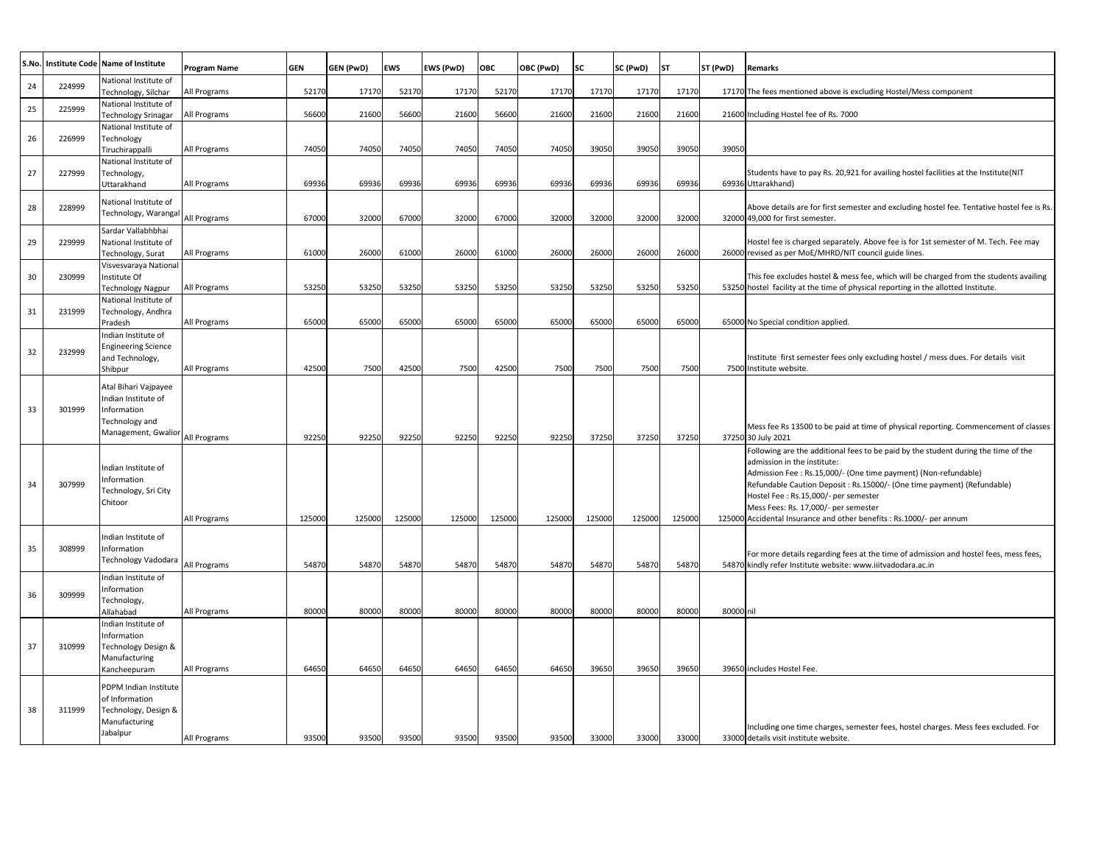| S.No. | <b>Institute Code</b> | Name of Institute                                                                                   | Program Name | <b>GEN</b> | GEN (PwD) | <b>EWS</b> | EWS (PwD) | OBC    | OBC (PwD) | lsc    | SC (PwD) | <b>ST</b> | ST (PwD)  | <b>Remarks</b>                                                                                                                                                                                                                                                                                                                                                                                                         |
|-------|-----------------------|-----------------------------------------------------------------------------------------------------|--------------|------------|-----------|------------|-----------|--------|-----------|--------|----------|-----------|-----------|------------------------------------------------------------------------------------------------------------------------------------------------------------------------------------------------------------------------------------------------------------------------------------------------------------------------------------------------------------------------------------------------------------------------|
| 24    | 224999                | National Institute of<br>Technology, Silchar                                                        | All Programs | 5217       | 17170     | 52170      | 17170     | 52170  | 17170     | 17170  | 17170    | 17170     |           | 17170 The fees mentioned above is excluding Hostel/Mess component                                                                                                                                                                                                                                                                                                                                                      |
| 25    | 225999                | National Institute of<br><b>Fechnology Srinagar</b>                                                 | All Programs | 56600      | 21600     | 56600      | 21600     | 56600  | 21600     | 21600  | 21600    | 21600     |           | 21600 Including Hostel fee of Rs. 7000                                                                                                                                                                                                                                                                                                                                                                                 |
| 26    | 226999                | National Institute of<br>Technology<br>Tiruchirappalli                                              | All Programs | 74050      | 74050     | 74050      | 74050     | 74050  | 74050     | 39050  | 39050    | 39050     | 39050     |                                                                                                                                                                                                                                                                                                                                                                                                                        |
| 27    | 227999                | National Institute of<br>Technology,<br>Uttarakhand                                                 | All Programs | 69936      | 69936     | 69936      | 69936     | 69936  | 69936     | 69936  | 69936    | 69936     |           | Students have to pay Rs. 20,921 for availing hostel facilities at the Institute(NIT<br>69936 Uttarakhand)                                                                                                                                                                                                                                                                                                              |
| 28    | 228999                | National Institute of<br>Technology, Warangal                                                       | All Programs | 67000      | 32000     | 67000      | 32000     | 67000  | 32000     | 32000  | 32000    | 32000     |           | Above details are for first semester and excluding hostel fee. Tentative hostel fee is Rs.<br>32000 49,000 for first semester.                                                                                                                                                                                                                                                                                         |
| 29    | 229999                | Sardar Vallabhbhai<br>National Institute of<br>Technology, Surat                                    | All Programs | 61000      | 26000     | 61000      | 26000     | 61000  | 26000     | 26000  | 26000    | 26000     |           | Hostel fee is charged separately. Above fee is for 1st semester of M. Tech. Fee may<br>26000 revised as per MoE/MHRD/NIT council guide lines.                                                                                                                                                                                                                                                                          |
| 30    | 230999                | Visvesvaraya National<br>Institute Of<br><b>Technology Nagpur</b>                                   | All Programs | 53250      | 53250     | 53250      | 53250     | 53250  | 53250     | 53250  | 53250    | 53250     |           | This fee excludes hostel & mess fee, which will be charged from the students availing<br>53250 hostel facility at the time of physical reporting in the allotted Institute.                                                                                                                                                                                                                                            |
| 31    | 231999                | National Institute of<br>Technology, Andhra<br>Pradesh                                              | All Programs | 65000      | 65000     | 65000      | 65000     | 65000  | 65000     | 65000  | 65000    | 65000     |           | 65000 No Special condition applied.                                                                                                                                                                                                                                                                                                                                                                                    |
| 32    | 232999                | Indian Institute of<br><b>Engineering Science</b><br>and Technology,<br>Shibpur                     | All Programs | 42500      | 7500      | 42500      | 7500      | 42500  | 7500      | 7500   | 7500     | 7500      |           | nstitute first semester fees only excluding hostel / mess dues. For details visit<br>7500 Institute website.                                                                                                                                                                                                                                                                                                           |
| 33    | 301999                | Atal Bihari Vajpayee<br>Indian Institute of<br>Information<br>Technology and<br>Management, Gwalior | All Programs | 92250      | 92250     | 92250      | 92250     | 92250  | 92250     | 37250  | 37250    | 37250     |           | Mess fee Rs 13500 to be paid at time of physical reporting. Commencement of classes<br>37250 30 July 2021                                                                                                                                                                                                                                                                                                              |
| 34    | 307999                | ndian Institute of<br>Information<br>Technology, Sri City<br>Chitoor                                | All Programs | 125000     | 125000    | 125000     | 125000    | 125000 | 125000    | 125000 | 125000   | 125000    |           | Following are the additional fees to be paid by the student during the time of the<br>admission in the institute:<br>Admission Fee : Rs.15,000/- (One time payment) (Non-refundable)<br>Refundable Caution Deposit: Rs.15000/- (One time payment) (Refundable)<br>Hostel Fee: Rs.15,000/- per semester<br>Mess Fees: Rs. 17,000/- per semester<br>125000 Accidental Insurance and other benefits : Rs.1000/- per annum |
| 35    | 308999                | ndian Institute of<br>Information<br>Technology Vadodara                                            | All Programs | 5487       | 54870     | 54870      | 54870     | 54870  | 54870     | 54870  | 54870    | 54870     |           | For more details regarding fees at the time of admission and hostel fees, mess fees,<br>54870 kindly refer Institute website: www.iiitvadodara.ac.in                                                                                                                                                                                                                                                                   |
| 36    | 309999                | ndian Institute of<br>nformation<br>Technology,<br>Allahabad                                        | All Programs | 8000       | 80000     | 80000      | 80000     | 80000  | 80000     | 80000  | 80000    | 80000     | 80000 nil |                                                                                                                                                                                                                                                                                                                                                                                                                        |
| 37    | 310999                | Indian Institute of<br>Information<br>Technology Design &<br>Manufacturing<br>Kancheepuram          | All Programs | 64650      | 64650     | 64650      | 64650     | 64650  | 64650     | 39650  | 39650    | 39650     |           | 39650 includes Hostel Fee.                                                                                                                                                                                                                                                                                                                                                                                             |
| 38    | 311999                | PDPM Indian Institute<br>of Information<br>Technology, Design &<br>Manufacturing<br>Jabalpur        | All Programs | 93500      | 93500     | 93500      | 93500     | 93500  | 93500     | 33000  | 33000    | 33000     |           | Including one time charges, semester fees, hostel charges. Mess fees excluded. For<br>33000 details visit institute website.                                                                                                                                                                                                                                                                                           |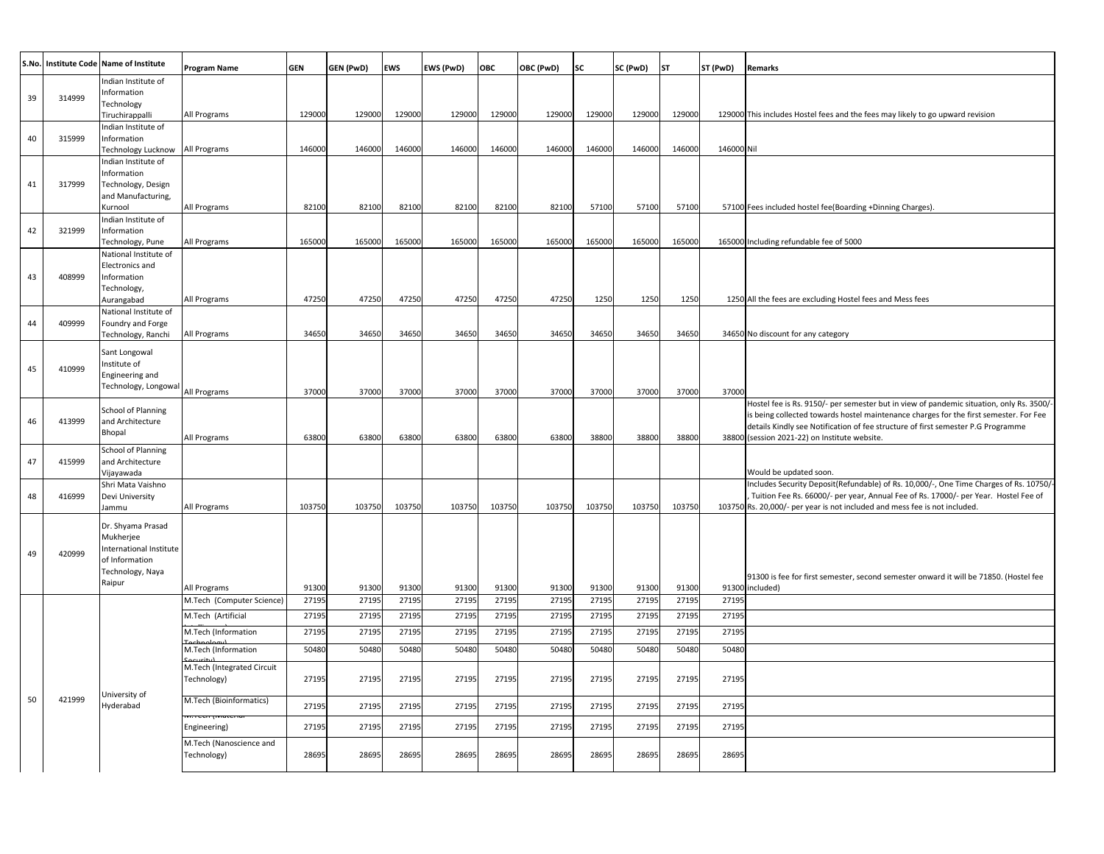| S.No. | Institute Code Name of Institute |                                          |                                                                                                  |                                  |                                  |                                  |                                  |                                  |                         |                                  |                         |           |            |                                                                                          |
|-------|----------------------------------|------------------------------------------|--------------------------------------------------------------------------------------------------|----------------------------------|----------------------------------|----------------------------------|----------------------------------|----------------------------------|-------------------------|----------------------------------|-------------------------|-----------|------------|------------------------------------------------------------------------------------------|
|       |                                  |                                          | Program Name                                                                                     | <b>GEN</b>                       | GEN (PwD)                        | <b>EWS</b>                       | EWS (PwD)                        | ОВС                              | OBC (PwD)               | SC                               | SC (PwD)                | <b>ST</b> | ST (PwD)   | <b>Remarks</b>                                                                           |
|       |                                  | Indian Institute of                      |                                                                                                  |                                  |                                  |                                  |                                  |                                  |                         |                                  |                         |           |            |                                                                                          |
|       | 314999                           | Information                              |                                                                                                  |                                  |                                  |                                  |                                  |                                  |                         |                                  |                         |           |            |                                                                                          |
|       |                                  | Technology<br>Tiruchirappalli            | All Programs                                                                                     | 129000                           | 129000                           | 129000                           | 129000                           | 129000                           | 129000                  | 129000                           | 129000                  | 129000    |            | 129000 This includes Hostel fees and the fees may likely to go upward revision           |
|       |                                  | ndian Institute of                       |                                                                                                  |                                  |                                  |                                  |                                  |                                  |                         |                                  |                         |           |            |                                                                                          |
|       | 315999                           | Information                              |                                                                                                  |                                  |                                  |                                  |                                  |                                  |                         |                                  |                         |           |            |                                                                                          |
|       |                                  | Technology Lucknow                       | All Programs                                                                                     | 146000                           | 146000                           | 146000                           | 146000                           | 146000                           | 146000                  | 146000                           | 146000                  | 146000    | 146000 Nil |                                                                                          |
|       |                                  | ndian Institute of                       |                                                                                                  |                                  |                                  |                                  |                                  |                                  |                         |                                  |                         |           |            |                                                                                          |
|       |                                  | Information                              |                                                                                                  |                                  |                                  |                                  |                                  |                                  |                         |                                  |                         |           |            |                                                                                          |
|       | 317999                           | Technology, Design<br>and Manufacturing, |                                                                                                  |                                  |                                  |                                  |                                  |                                  |                         |                                  |                         |           |            |                                                                                          |
|       |                                  | Kurnool                                  | All Programs                                                                                     | 82100                            | 82100                            | 82100                            | 82100                            | 82100                            | 82100                   | 57100                            | 57100                   | 57100     |            | 57100 Fees included hostel fee(Boarding +Dinning Charges).                               |
|       |                                  | ndian Institute of                       |                                                                                                  |                                  |                                  |                                  |                                  |                                  |                         |                                  |                         |           |            |                                                                                          |
|       | 321999                           | Information                              |                                                                                                  |                                  |                                  |                                  |                                  |                                  |                         |                                  |                         |           |            |                                                                                          |
|       |                                  | Technology, Pune                         | All Programs                                                                                     | 165000                           | 165000                           | 165000                           | 165000                           | 165000                           | 165000                  | 165000                           | 165000                  | 165000    |            | 165000 Including refundable fee of 5000                                                  |
|       |                                  | National Institute of                    |                                                                                                  |                                  |                                  |                                  |                                  |                                  |                         |                                  |                         |           |            |                                                                                          |
|       | 408999                           | Electronics and<br>Information           |                                                                                                  |                                  |                                  |                                  |                                  |                                  |                         |                                  |                         |           |            |                                                                                          |
|       |                                  | Technology,                              |                                                                                                  |                                  |                                  |                                  |                                  |                                  |                         |                                  |                         |           |            |                                                                                          |
|       |                                  | Aurangabad                               | All Programs                                                                                     | 47250                            | 47250                            | 47250                            | 47250                            | 47250                            | 47250                   | 1250                             | 1250                    | 1250      |            | 1250 All the fees are excluding Hostel fees and Mess fees                                |
|       |                                  | National Institute of                    |                                                                                                  |                                  |                                  |                                  |                                  |                                  |                         |                                  |                         |           |            |                                                                                          |
|       | 409999                           | Foundry and Forge                        |                                                                                                  |                                  |                                  |                                  |                                  |                                  |                         |                                  |                         |           |            |                                                                                          |
|       |                                  | Technology, Ranchi                       | All Programs                                                                                     | 34650                            | 34650                            | 34650                            | 34650                            | 34650                            | 34650                   | 34650                            | 34650                   | 34650     |            | 34650 No discount for any category                                                       |
|       |                                  | Sant Longowal                            |                                                                                                  |                                  |                                  |                                  |                                  |                                  |                         |                                  |                         |           |            |                                                                                          |
|       | 410999                           | Institute of                             |                                                                                                  |                                  |                                  |                                  |                                  |                                  |                         |                                  |                         |           |            |                                                                                          |
|       |                                  | Engineering and                          |                                                                                                  |                                  |                                  |                                  |                                  |                                  |                         |                                  |                         |           |            |                                                                                          |
|       |                                  | Technology, Longowal                     | All Programs                                                                                     | 37000                            | 37000                            | 37000                            | 37000                            | 37000                            | 37000                   | 37000                            | 37000                   | 37000     | 37000      |                                                                                          |
|       | 413999                           | School of Planning                       |                                                                                                  |                                  |                                  |                                  |                                  |                                  |                         |                                  |                         |           |            | Hostel fee is Rs. 9150/- per semester but in view of pandemic situation, only Rs. 3500/- |
|       |                                  | and Architecture                         |                                                                                                  |                                  |                                  |                                  |                                  |                                  |                         |                                  |                         |           |            | is being collected towards hostel maintenance charges for the first semester. For Fee    |
|       |                                  | Bhopal                                   |                                                                                                  |                                  |                                  |                                  |                                  |                                  |                         |                                  |                         |           |            | details Kindly see Notification of fee structure of first semester P.G Programme         |
|       |                                  |                                          | All Programs                                                                                     | 63800                            | 63800                            | 63800                            | 63800                            | 63800                            | 63800                   | 38800                            | 38800                   | 38800     |            | 38800 (session 2021-22) on Institute website.                                            |
|       | 415999                           | School of Planning<br>and Architecture   |                                                                                                  |                                  |                                  |                                  |                                  |                                  |                         |                                  |                         |           |            |                                                                                          |
|       |                                  | Vijayawada                               |                                                                                                  |                                  |                                  |                                  |                                  |                                  |                         |                                  |                         |           |            | Would be updated soon.                                                                   |
|       |                                  | Shri Mata Vaishno                        |                                                                                                  |                                  |                                  |                                  |                                  |                                  |                         |                                  |                         |           |            | Includes Security Deposit(Refundable) of Rs. 10,000/-, One Time Charges of Rs. 10750/-   |
|       | 416999                           | Devi University                          |                                                                                                  |                                  |                                  |                                  |                                  |                                  |                         |                                  |                         |           |            | Tuition Fee Rs. 66000/- per year, Annual Fee of Rs. 17000/- per Year. Hostel Fee of      |
|       |                                  | Jammu                                    | All Programs                                                                                     | 103750                           | 103750                           | 103750                           | 103750                           | 103750                           | 103750                  | 103750                           | 103750                  | 103750    |            | 103750 Rs. 20,000/- per year is not included and mess fee is not included.               |
|       |                                  | Dr. Shyama Prasad                        |                                                                                                  |                                  |                                  |                                  |                                  |                                  |                         |                                  |                         |           |            |                                                                                          |
|       |                                  | Mukherjee                                |                                                                                                  |                                  |                                  |                                  |                                  |                                  |                         |                                  |                         |           |            |                                                                                          |
|       | 420999                           | International Institute                  |                                                                                                  |                                  |                                  |                                  |                                  |                                  |                         |                                  |                         |           |            |                                                                                          |
|       |                                  | of Information                           |                                                                                                  |                                  |                                  |                                  |                                  |                                  |                         |                                  |                         |           |            |                                                                                          |
|       |                                  | Technology, Naya                         |                                                                                                  |                                  |                                  |                                  |                                  |                                  |                         |                                  |                         |           |            | 91300 is fee for first semester, second semester onward it will be 71850. (Hostel fee    |
|       |                                  | Raipur                                   | All Programs                                                                                     | 91300                            | 91300                            | 91300                            | 91300                            | 91300                            | 91300                   | 91300                            | 91300                   | 91300     |            | 91300 included)                                                                          |
|       |                                  |                                          | M.Tech (Computer Science)                                                                        | 27195                            | 27195                            | 27195                            | 27195                            | 27195                            | 27195                   | 27195                            | 2719                    | 27195     | 27195      |                                                                                          |
|       |                                  |                                          | M.Tech (Artificial                                                                               | 27195                            | 27195                            | 27195                            | 27195                            | 27195                            | 27195                   | 27195                            | 27195                   | 27195     | 27195      |                                                                                          |
|       |                                  |                                          | M.Tech (Information                                                                              | 27195                            | 27195                            | 27195                            | 27195                            | 27195                            | 27195                   | 27195                            | 27195                   | 27195     | 27195      |                                                                                          |
|       |                                  |                                          | M.Tech (Information                                                                              | 50480                            | 50480                            | 50480                            | 50480                            | 50480                            | 50480                   | 50480                            | 50480                   | 50480     | 50480      |                                                                                          |
|       |                                  |                                          |                                                                                                  |                                  |                                  |                                  |                                  |                                  |                         |                                  |                         |           |            |                                                                                          |
|       |                                  |                                          | M.Tech (Integrated Circuit                                                                       |                                  |                                  |                                  |                                  |                                  |                         |                                  |                         |           |            |                                                                                          |
|       |                                  |                                          |                                                                                                  |                                  |                                  |                                  |                                  |                                  |                         |                                  |                         |           |            |                                                                                          |
|       |                                  | University of                            |                                                                                                  |                                  |                                  |                                  |                                  |                                  |                         |                                  |                         |           |            |                                                                                          |
|       |                                  |                                          |                                                                                                  |                                  |                                  |                                  |                                  |                                  | 27195                   |                                  | 27195                   | 27195     |            |                                                                                          |
|       |                                  |                                          |                                                                                                  |                                  |                                  |                                  |                                  |                                  |                         |                                  |                         | 27195     |            |                                                                                          |
|       |                                  |                                          |                                                                                                  |                                  |                                  |                                  |                                  |                                  |                         |                                  |                         |           |            |                                                                                          |
|       |                                  |                                          |                                                                                                  |                                  |                                  |                                  |                                  |                                  |                         |                                  |                         |           |            |                                                                                          |
|       |                                  |                                          |                                                                                                  |                                  |                                  |                                  |                                  |                                  |                         |                                  |                         |           |            |                                                                                          |
|       | 421999                           | Hyderabad                                | Technology)<br>M.Tech (Bioinformatics)<br>Engineering)<br>M.Tech (Nanoscience and<br>Technology) | 27195<br>27195<br>27195<br>28695 | 27195<br>27195<br>27195<br>28695 | 27195<br>27195<br>27195<br>28695 | 27195<br>27195<br>27195<br>28695 | 27195<br>27195<br>27195<br>28695 | 27195<br>27195<br>28695 | 27195<br>27195<br>27195<br>28695 | 27195<br>27195<br>28695 |           |            | 27195<br>27195<br>27195<br>27195<br>28695<br>28695                                       |